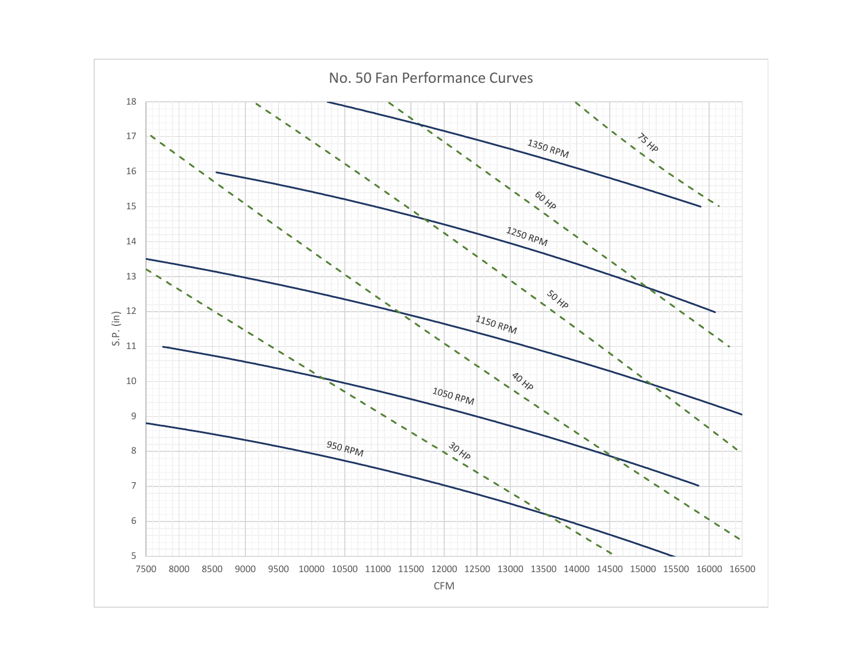